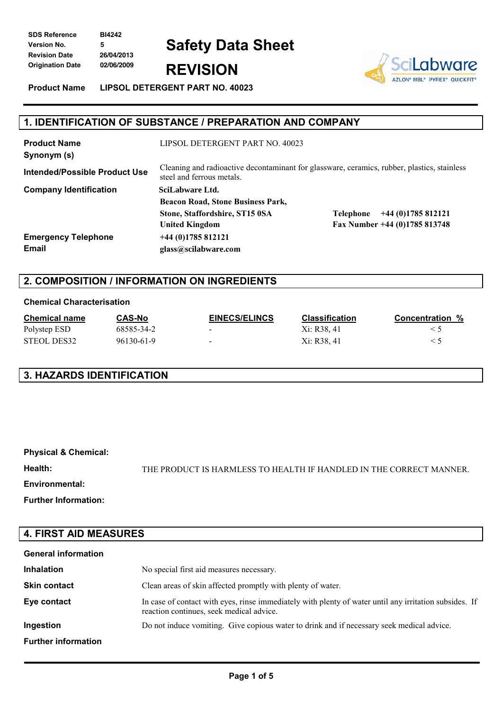**SDS Reference BI4242 Version No. 5 Revision Date 26/04/2013 Origination Date 02/06/2009 REVISION**

# **Safety Data Sheet**

**Product Name LIPSOL DETERGENT PART NO. 40023**



# **1. IDENTIFICATION OF SUBSTANCE / PREPARATION AND COMPANY**

| <b>Product Name</b><br>Synonym (s)   | LIPSOL DETERGENT PART NO. 40023                                                                                          |                                 |  |
|--------------------------------------|--------------------------------------------------------------------------------------------------------------------------|---------------------------------|--|
| <b>Intended/Possible Product Use</b> | Cleaning and radioactive decontaminant for glassware, ceramics, rubber, plastics, stainless<br>steel and ferrous metals. |                                 |  |
| <b>Company Identification</b>        | SciLabware Ltd.                                                                                                          |                                 |  |
|                                      | <b>Beacon Road, Stone Business Park,</b>                                                                                 |                                 |  |
|                                      | Stone, Staffordshire, ST15 0SA                                                                                           | $+44(0)1785812121$<br>Telephone |  |
|                                      | <b>United Kingdom</b>                                                                                                    | Fax Number +44 (0)1785 813748   |  |
| <b>Emergency Telephone</b>           | $+44(0)1785812121$                                                                                                       |                                 |  |
| Email                                | glass@scilabware.com                                                                                                     |                                 |  |

#### **2. COMPOSITION / INFORMATION ON INGREDIENTS**

#### **Chemical Characterisation**

| <b>Chemical name</b> | CAS-No     | <b>EINECS/ELINCS</b> | <b>Classification</b> | <b>Concentration %</b> |
|----------------------|------------|----------------------|-----------------------|------------------------|
| Polystep ESD         | 68585-34-2 | $\sim$               | Xi: R38, 41           |                        |
| STEOL DES32          | 96130-61-9 | $\sim$               | Xi: R38, 41           |                        |

# **3. HAZARDS IDENTIFICATION**

| <b>Physical &amp; Chemical:</b> |                                                                     |
|---------------------------------|---------------------------------------------------------------------|
| Health:                         | THE PRODUCT IS HARMLESS TO HEALTH IF HANDLED IN THE CORRECT MANNER. |
| Environmental:                  |                                                                     |
| <b>Further Information:</b>     |                                                                     |

#### **4. FIRST AID MEASURES**

| <b>General information</b> |                                                                                                                                                    |
|----------------------------|----------------------------------------------------------------------------------------------------------------------------------------------------|
| <b>Inhalation</b>          | No special first aid measures necessary.                                                                                                           |
| <b>Skin contact</b>        | Clean areas of skin affected promptly with plenty of water.                                                                                        |
| Eye contact                | In case of contact with eyes, rinse immediately with plenty of water until any irritation subsides. If<br>reaction continues, seek medical advice. |
| Ingestion                  | Do not induce vomiting. Give copious water to drink and if necessary seek medical advice.                                                          |
| <b>Further information</b> |                                                                                                                                                    |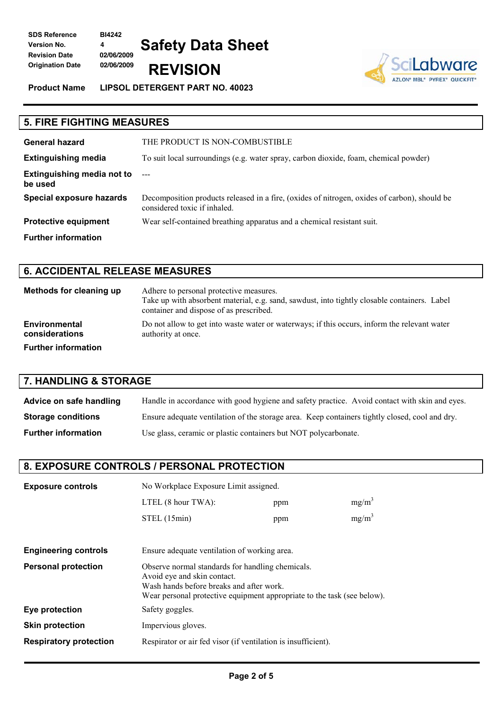**SDS Reference BI4242 Version No. 4 Revision Date 02/06/2009 Origination Date 02/06/2009 REVISION**

**Product Name LIPSOL DETERGENT PART NO. 40023**

**Safety Data Sheet**



# **5. FIRE FIGHTING MEASURES General hazard** THE PRODUCT IS NON-COMBUSTIBLE **Extinguishing media** To suit local surroundings (e.g. water spray, carbon dioxide, foam, chemical powder) **Extinguishing media not to be used** --- **Special exposure hazards** Decomposition products released in a fire, (oxides of nitrogen, oxides of carbon), should be considered toxic if inhaled. **Protective equipment** Wear self-contained breathing apparatus and a chemical resistant suit. **Further information**

#### **6. ACCIDENTAL RELEASE MEASURES**

| Methods for cleaning up         | Adhere to personal protective measures.<br>Take up with absorbent material, e.g. sand, sawdust, into tightly closable containers. Label<br>container and dispose of as prescribed. |
|---------------------------------|------------------------------------------------------------------------------------------------------------------------------------------------------------------------------------|
| Environmental<br>considerations | Do not allow to get into waste water or waterways; if this occurs, inform the relevant water<br>authority at once.                                                                 |
| <b>Further information</b>      |                                                                                                                                                                                    |

# **7. HANDLING & STORAGE**

| Advice on safe handling    | Handle in accordance with good hygiene and safety practice. Avoid contact with skin and eyes.  |
|----------------------------|------------------------------------------------------------------------------------------------|
| <b>Storage conditions</b>  | Ensure adequate ventilation of the storage area. Keep containers tightly closed, cool and dry. |
| <b>Further information</b> | Use glass, ceramic or plastic containers but NOT polycarbonate.                                |

## **8. EXPOSURE CONTROLS / PERSONAL PROTECTION**

| <b>Exposure controls</b>      | No Workplace Exposure Limit assigned.                                                                                                                                                                  |  |          |
|-------------------------------|--------------------------------------------------------------------------------------------------------------------------------------------------------------------------------------------------------|--|----------|
|                               | $mg/m^3$<br>LTEL $(8 \text{ hour} \text{ TWA})$ :<br>ppm                                                                                                                                               |  |          |
|                               | STEL (15min)<br>ppm                                                                                                                                                                                    |  | $mg/m^3$ |
|                               |                                                                                                                                                                                                        |  |          |
| <b>Engineering controls</b>   | Ensure adequate ventilation of working area.                                                                                                                                                           |  |          |
| <b>Personal protection</b>    | Observe normal standards for handling chemicals.<br>Avoid eye and skin contact.<br>Wash hands before breaks and after work.<br>Wear personal protective equipment appropriate to the task (see below). |  |          |
| Eye protection                | Safety goggles.                                                                                                                                                                                        |  |          |
| <b>Skin protection</b>        | Impervious gloves.                                                                                                                                                                                     |  |          |
| <b>Respiratory protection</b> | Respirator or air fed visor (if ventilation is insufficient).                                                                                                                                          |  |          |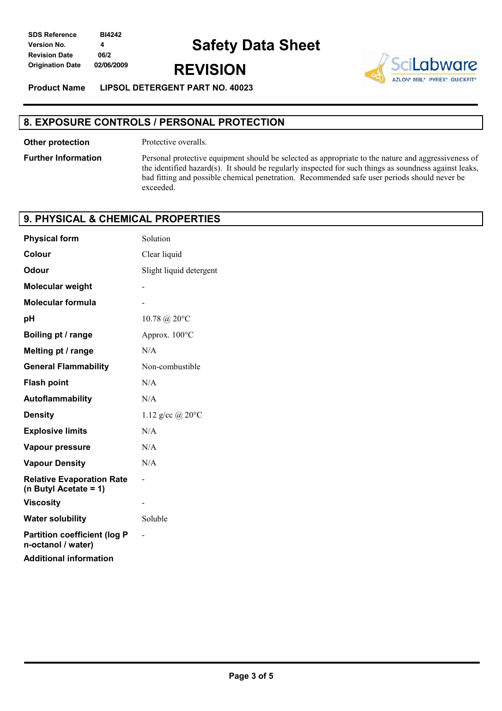**REVISION**



**Product Name LIPSOL DETERGENT PART NO. 40023**

## **8. EXPOSURE CONTROLS / PERSONAL PROTECTION**

**Other protection** Protective overalls.

**Further Information** Personal protective equipment should be selected as appropriate to the nature and aggressiveness of the identified hazard(s). It should be regularly inspected for such things as soundness against leaks, bad fitting and possible chemical penetration. Recommended safe user periods should never be exceeded.

#### **9. PHYSICAL & CHEMICAL PROPERTIES**

| <b>Physical form</b>                                      | Solution                   |
|-----------------------------------------------------------|----------------------------|
| Colour                                                    | Clear liquid               |
| Odour                                                     | Slight liquid detergent    |
| <b>Molecular weight</b>                                   |                            |
| <b>Molecular formula</b>                                  |                            |
| рH                                                        | 10.78 @ 20°C               |
| Boiling pt / range                                        | Approx. 100°C              |
| Melting pt / range                                        | N/A                        |
| <b>General Flammability</b>                               | Non-combustible            |
| <b>Flash point</b>                                        | N/A                        |
| Autoflammability                                          | N/A                        |
| <b>Density</b>                                            | 1.12 g/cc @ $20^{\circ}$ C |
| <b>Explosive limits</b>                                   | N/A                        |
| <b>Vapour pressure</b>                                    | N/A                        |
| <b>Vapour Density</b>                                     | N/A                        |
| <b>Relative Evaporation Rate</b><br>(n Butyl Acetate = 1) |                            |
| <b>Viscosity</b>                                          |                            |
| <b>Water solubility</b>                                   | Soluble                    |
| <b>Partition coefficient (log P</b><br>n-octanol / water) |                            |
| <b>Additional information</b>                             |                            |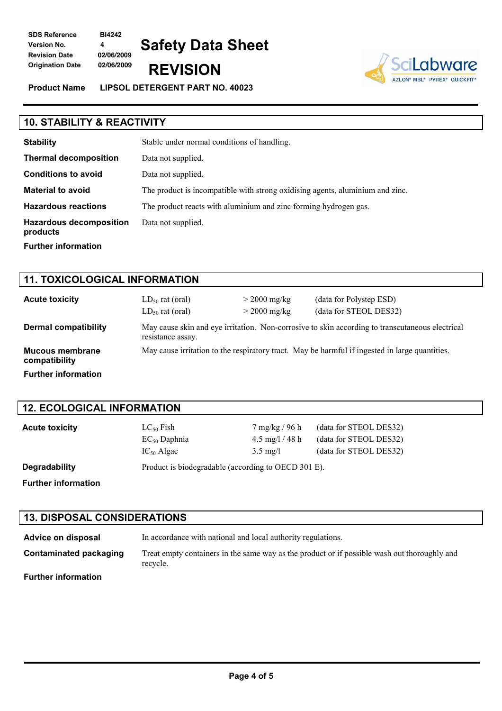**SDS Reference BI4242 Version No. 4 Revision Date 02/06/2009**

**Safety Data Sheet Origination Date 02/06/2009 REVISION**

**Product Name LIPSOL DETERGENT PART NO. 40023**



| <b>10. STABILITY &amp; REACTIVITY</b>      |                                                                               |  |
|--------------------------------------------|-------------------------------------------------------------------------------|--|
| <b>Stability</b>                           | Stable under normal conditions of handling.                                   |  |
| <b>Thermal decomposition</b>               | Data not supplied.                                                            |  |
| <b>Conditions to avoid</b>                 | Data not supplied.                                                            |  |
| <b>Material to avoid</b>                   | The product is incompatible with strong oxidising agents, aluminium and zinc. |  |
| <b>Hazardous reactions</b>                 | The product reacts with aluminium and zinc forming hydrogen gas.              |  |
| <b>Hazardous decomposition</b><br>products | Data not supplied.                                                            |  |
| <b>Further information</b>                 |                                                                               |  |

| <b>11. TOXICOLOGICAL INFORMATION</b> |                                              |                                  |                                                                                                 |  |
|--------------------------------------|----------------------------------------------|----------------------------------|-------------------------------------------------------------------------------------------------|--|
| <b>Acute toxicity</b>                | $LD_{50}$ rat (oral)<br>$LD_{50}$ rat (oral) | $>$ 2000 mg/kg<br>$>$ 2000 mg/kg | (data for Polystep ESD)<br>(data for STEOL DES32)                                               |  |
| <b>Dermal compatibility</b>          | resistance assay.                            |                                  | May cause skin and eye irritation. Non-corrosive to skin according to transcutaneous electrical |  |
| Mucous membrane<br>compatibility     |                                              |                                  | May cause irritation to the respiratory tract. May be harmful if ingested in large quantities.  |  |
| <b>Further information</b>           |                                              |                                  |                                                                                                 |  |

#### **12. ECOLOGICAL INFORMATION**

**Acute toxicity** LC<sub>50</sub> Fish 7 mg/kg / 96 h (data for STEOL DES32)  $EC_{50}$  Daphnia  $4.5 \text{ mg}/1/48 \text{ h}$  (data for STEOL DES32)  $IC_{50}$  Algae  $3.5$  mg/l (data for STEOL DES32)

**Degradability** Product is biodegradable (according to OECD 301 E). **Further information**

# **13. DISPOSAL CONSIDERATIONS**

**Advice on disposal** In accordance with national and local authority regulations. **Contaminated packaging** Treat empty containers in the same way as the product or if possible wash out thoroughly and recycle. **Further information**